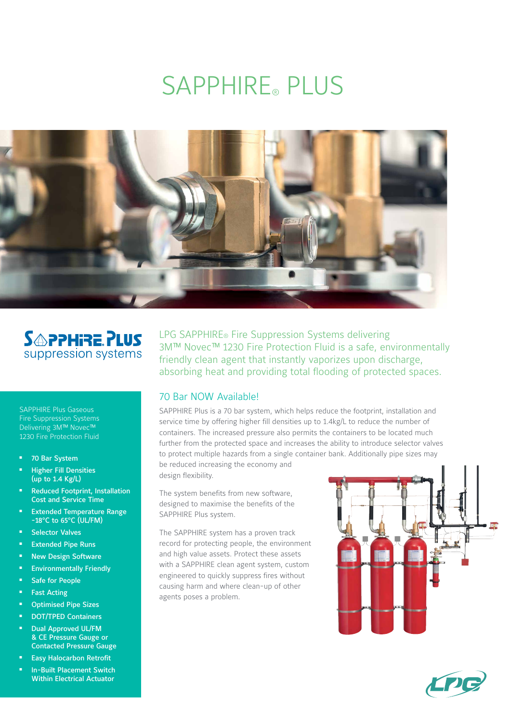# SAPPHIRE® PLUS



# **SAPPHIRE PLUS** suppression systems

SAPPHIRE Plus Gaseous Fire Suppression Systems Delivering 3M™ Novec™ 1230 Fire Protection Fluid

- 70 Bar System
- **Higher Fill Densities** (up to 1.4 Kg/L)
- Reduced Footprint, Installation Cost and Service Time
- **Extended Temperature Range** -18°C to 65°C (UL/FM)
- **Selector Valves**
- Extended Pipe Runs
- **New Design Software**
- **Environmentally Friendly**
- Safe for People
- **Fast Acting**
- **Optimised Pipe Sizes**
- <sup>n</sup> DOT/TPED Containers
- Dual Approved UL/FM & CE Pressure Gauge or Contacted Pressure Gauge
- **Easy Halocarbon Retrofit**
- In-Built Placement Switch Within Electrical Actuator

LPG SAPPHIRE® Fire Suppression Systems delivering 3M™ Novec™ 1230 Fire Protection Fluid is a safe, environmentally friendly clean agent that instantly vaporizes upon discharge, absorbing heat and providing total flooding of protected spaces.

### 70 Bar NOW Available!

SAPPHIRE Plus is a 70 bar system, which helps reduce the footprint, installation and service time by offering higher fill densities up to 1.4kg/L to reduce the number of containers. The increased pressure also permits the containers to be located much further from the protected space and increases the ability to introduce selector valves to protect multiple hazards from a single container bank. Additionally pipe sizes may

be reduced increasing the economy and design flexibility.

The system benefits from new software, designed to maximise the benefits of the SAPPHIRE Plus system.

The SAPPHIRE system has a proven track record for protecting people, the environment and high value assets. Protect these assets with a SAPPHIRE clean agent system, custom engineered to quickly suppress fires without causing harm and where clean-up of other agents poses a problem.



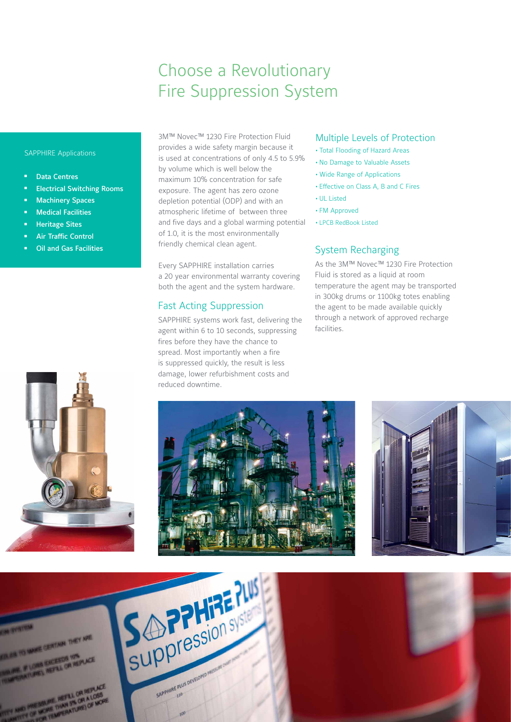# Choose a Revolutionary Fire Suppression System

#### SAPPHIRE Applications

- Data Centres
- **Electrical Switching Rooms**
- **Machinery Spaces**
- **Nedical Facilities**
- **Heritage Sites**
- Air Traffic Control
- **Oil and Gas Facilities**

3M™ Novec™ 1230 Fire Protection Fluid provides a wide safety margin because it is used at concentrations of only 4.5 to 5.9% by volume which is well below the maximum 10% concentration for safe exposure. The agent has zero ozone depletion potential (ODP) and with an atmospheric lifetime of between three and five days and a global warming potential of 1.0, it is the most environmentally friendly chemical clean agent.

Every SAPPHIRE installation carries a 20 year environmental warranty covering both the agent and the system hardware.

### Fast Acting Suppression

SAPPHIRE systems work fast, delivering the agent within 6 to 10 seconds, suppressing fires before they have the chance to spread. Most importantly when a fire is suppressed quickly, the result is less damage, lower refurbishment costs and reduced downtime.

#### Multiple Levels of Protection

- **•** Total Flooding of Hazard Areas
- **•** No Damage to Valuable Assets
- **•** Wide Range of Applications
- **•** Effective on Class A, B and C Fires
- **•** UL Listed
- **•** FM Approved
- **•** LPCB RedBook Listed

### System Recharging

As the 3M™ Novec™ 1230 Fire Protection Fluid is stored as a liquid at room temperature the agent may be transported in 300kg drums or 1100kg totes enabling the agent to be made available quickly through a network of approved recharge facilities.







OF CENTAIN THEY ARE

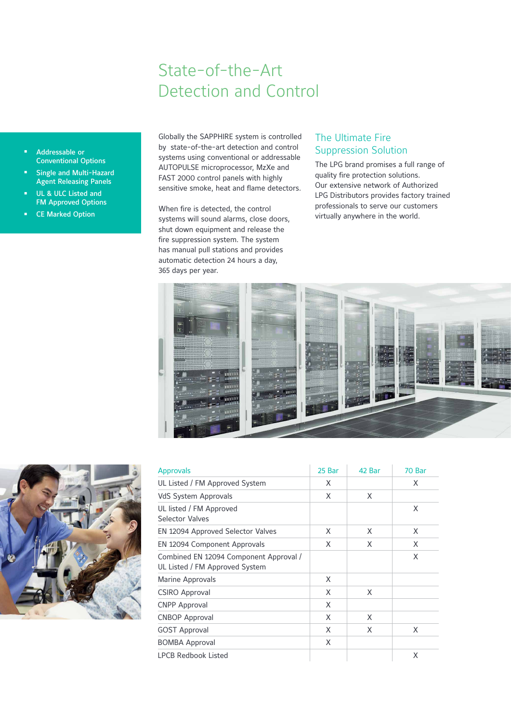# State-of-the-Art Detection and Control

- <sup>n</sup> Addressable or Conventional Options
- Single and Multi-Hazard Agent Releasing Panels
- UL & ULC Listed and FM Approved Options
- **CE Marked Option**

Globally the SAPPHIRE system is controlled by state-of-the-art detection and control systems using conventional or addressable AUTOPULSE microprocessor, MzXe and FAST 2000 control panels with highly sensitive smoke, heat and flame detectors.

When fire is detected, the control systems will sound alarms, close doors, shut down equipment and release the fire suppression system. The system has manual pull stations and provides automatic detection 24 hours a day, 365 days per year.

### The Ultimate Fire Suppression Solution

The LPG brand promises a full range of quality fire protection solutions. Our extensive network of Authorized LPG Distributors provides factory trained professionals to serve our customers virtually anywhere in the world.





| <b>Approvals</b>                                                         | 25 Bar | 42 Bar | 70 Bar |
|--------------------------------------------------------------------------|--------|--------|--------|
| UL Listed / FM Approved System                                           | X      |        | X      |
| <b>VdS System Approvals</b>                                              | X      | X      |        |
| UL listed / FM Approved<br>Selector Valves                               |        |        | X      |
| EN 12094 Approved Selector Valves                                        | X      | X      | X      |
| EN 12094 Component Approvals                                             | X      | X      | X      |
| Combined EN 12094 Component Approval /<br>UL Listed / FM Approved System |        |        | X      |
| Marine Approvals                                                         | X      |        |        |
| <b>CSIRO Approval</b>                                                    | X      | X      |        |
| <b>CNPP Approval</b>                                                     | X      |        |        |
| <b>CNBOP Approval</b>                                                    | X      | X      |        |
| <b>GOST Approval</b>                                                     | X      | X      | X      |
| <b>BOMBA Approval</b>                                                    | X      |        |        |
| LPCB Redbook Listed                                                      |        |        | X      |